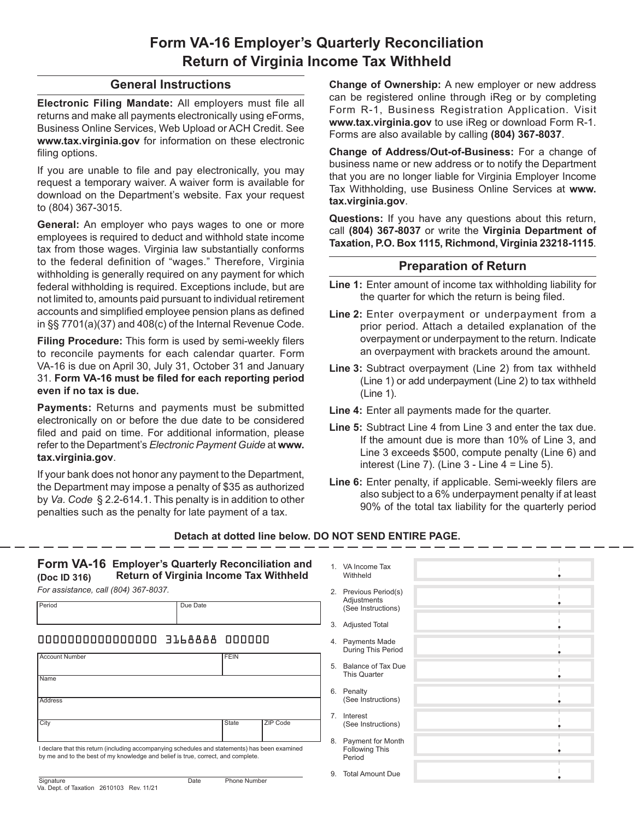## **Form VA-16 Employer's Quarterly Reconciliation Return of Virginia Income Tax Withheld**

## **General Instructions**

**Electronic Filing Mandate:** All employers must file all returns and make all payments electronically using eForms, Business Online Services, Web Upload or ACH Credit. See **www.tax.virginia.gov** for information on these electronic filing options.

If you are unable to file and pay electronically, you may request a temporary waiver. A waiver form is available for download on the Department's website. Fax your request to (804) 367-3015.

**General:** An employer who pays wages to one or more employees is required to deduct and withhold state income tax from those wages. Virginia law substantially conforms to the federal definition of "wages." Therefore, Virginia withholding is generally required on any payment for which federal withholding is required. Exceptions include, but are not limited to, amounts paid pursuant to individual retirement accounts and simplified employee pension plans as defined in §§ 7701(a)(37) and 408(c) of the Internal Revenue Code.

**Filing Procedure:** This form is used by semi-weekly filers to reconcile payments for each calendar quarter. Form VA‑16 is due on April 30, July 31, October 31 and January 31. **Form VA-16 must be filed for each reporting period even if no tax is due.**

**Payments:** Returns and payments must be submitted electronically on or before the due date to be considered filed and paid on time. For additional information, please refer to the Department's *Electronic Payment Guide* at **www. tax.virginia.gov**.

If your bank does not honor any payment to the Department, the Department may impose a penalty of \$35 as authorized by *Va. Code* § 2.2-614.1. This penalty is in addition to other penalties such as the penalty for late payment of a tax.

**Change of Ownership:** A new employer or new address can be registered online through iReg or by completing Form R‑1, Business Registration Application. Visit **www.tax.virginia.gov** to use iReg or download Form R-1. Forms are also available by calling **(804) 367-8037**.

**Change of Address/Out-of-Business:** For a change of business name or new address or to notify the Department that you are no longer liable for Virginia Employer Income Tax Withholding, use Business Online Services at **www. tax.virginia.gov**.

**Questions:** If you have any questions about this return, call **(804) 367-8037** or write the **Virginia Department of Taxation, P.O. Box 1115, Richmond, Virginia 23218-1115**.

## **Preparation of Return**

- **Line 1:** Enter amount of income tax withholding liability for the quarter for which the return is being filed.
- **Line 2:** Enter overpayment or underpayment from a prior period. Attach a detailed explanation of the overpayment or underpayment to the return. Indicate an overpayment with brackets around the amount.
- **Line 3:** Subtract overpayment (Line 2) from tax withheld (Line 1) or add underpayment (Line 2) to tax withheld (Line 1).
- **Line 4:** Enter all payments made for the quarter.
- **Line 5:** Subtract Line 4 from Line 3 and enter the tax due. If the amount due is more than 10% of Line 3, and Line 3 exceeds \$500, compute penalty (Line 6) and interest (Line 7). (Line  $3 -$  Line  $4 =$  Line 5).
- **Line 6:** Enter penalty, if applicable. Semi-weekly filers are also subject to a 6% underpayment penalty if at least 90% of the total tax liability for the quarterly period

## **Detach at dotted line below. DO NOT SEND ENTIRE PAGE.**

| Form VA-16 Employer's Quarterly Reconciliation and<br>Return of Virginia Income Tax Withheld<br>(Doc ID 316)                                                                       |                             |                | 1. VA Income Tax<br>Withheld                         |  |
|------------------------------------------------------------------------------------------------------------------------------------------------------------------------------------|-----------------------------|----------------|------------------------------------------------------|--|
| For assistance, call (804) 367-8037.                                                                                                                                               |                             |                | 2. Previous Period(s)                                |  |
| Period                                                                                                                                                                             | Due Date                    |                | Adjustments<br>(See Instructions)                    |  |
|                                                                                                                                                                                    |                             |                | 3. Adjusted Total                                    |  |
| 00000000000000000 3168888 000000                                                                                                                                                   |                             |                | 4. Payments Made<br>During This Period               |  |
| <b>Account Number</b><br><b>FEIN</b><br>Name<br>Address<br>City<br>State<br>ZIP Code                                                                                               |                             | 5.             | Balance of Tax Due<br><b>This Quarter</b>            |  |
|                                                                                                                                                                                    |                             | 6.             | Penalty<br>(See Instructions)                        |  |
|                                                                                                                                                                                    |                             | 7 <sub>1</sub> | Interest<br>(See Instructions)                       |  |
| I declare that this return (including accompanying schedules and statements) has been examined<br>by me and to the best of my knowledge and belief is true, correct, and complete. |                             | 8.             | Payment for Month<br><b>Following This</b><br>Period |  |
| Signature                                                                                                                                                                          | <b>Phone Number</b><br>Date | 9.             | <b>Total Amount Due</b>                              |  |